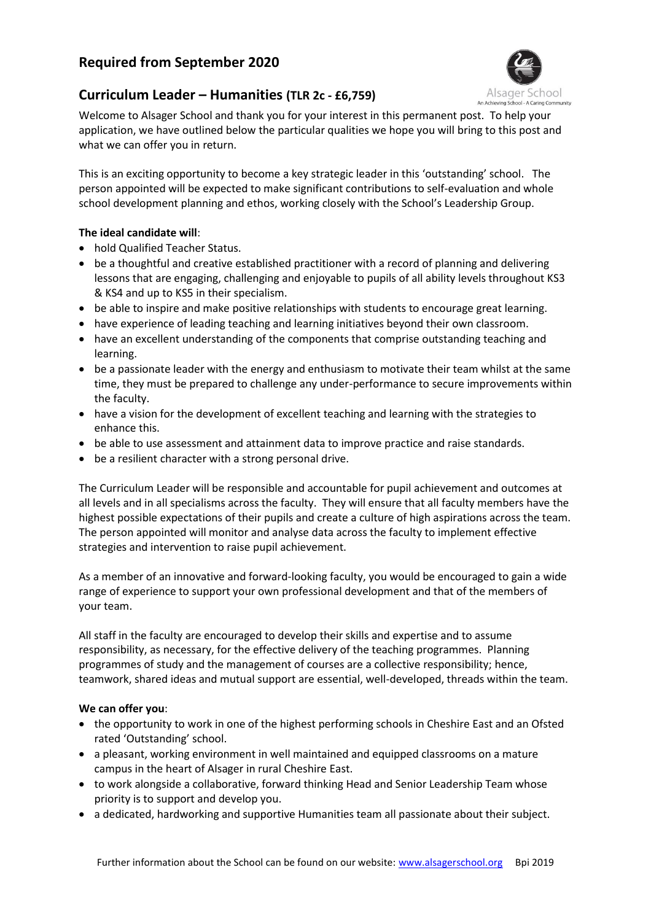# **Required from September 2020**



## **Curriculum Leader – Humanities (TLR 2c - £6,759)**

Welcome to Alsager School and thank you for your interest in this permanent post. To help your application, we have outlined below the particular qualities we hope you will bring to this post and what we can offer you in return.

This is an exciting opportunity to become a key strategic leader in this 'outstanding' school. The person appointed will be expected to make significant contributions to self-evaluation and whole school development planning and ethos, working closely with the School's Leadership Group.

### **The ideal candidate will**:

- hold Qualified Teacher Status.
- be a thoughtful and creative established practitioner with a record of planning and delivering lessons that are engaging, challenging and enjoyable to pupils of all ability levels throughout KS3 & KS4 and up to KS5 in their specialism.
- be able to inspire and make positive relationships with students to encourage great learning.
- have experience of leading teaching and learning initiatives beyond their own classroom.
- have an excellent understanding of the components that comprise outstanding teaching and learning.
- be a passionate leader with the energy and enthusiasm to motivate their team whilst at the same time, they must be prepared to challenge any under-performance to secure improvements within the faculty.
- have a vision for the development of excellent teaching and learning with the strategies to enhance this.
- be able to use assessment and attainment data to improve practice and raise standards.
- be a resilient character with a strong personal drive.

The Curriculum Leader will be responsible and accountable for pupil achievement and outcomes at all levels and in all specialisms across the faculty. They will ensure that all faculty members have the highest possible expectations of their pupils and create a culture of high aspirations across the team. The person appointed will monitor and analyse data across the faculty to implement effective strategies and intervention to raise pupil achievement.

As a member of an innovative and forward-looking faculty, you would be encouraged to gain a wide range of experience to support your own professional development and that of the members of your team.

All staff in the faculty are encouraged to develop their skills and expertise and to assume responsibility, as necessary, for the effective delivery of the teaching programmes. Planning programmes of study and the management of courses are a collective responsibility; hence, teamwork, shared ideas and mutual support are essential, well-developed, threads within the team.

### **We can offer you**:

- the opportunity to work in one of the highest performing schools in Cheshire East and an Ofsted rated 'Outstanding' school.
- a pleasant, working environment in well maintained and equipped classrooms on a mature campus in the heart of Alsager in rural Cheshire East.
- to work alongside a collaborative, forward thinking Head and Senior Leadership Team whose priority is to support and develop you.
- a dedicated, hardworking and supportive Humanities team all passionate about their subject.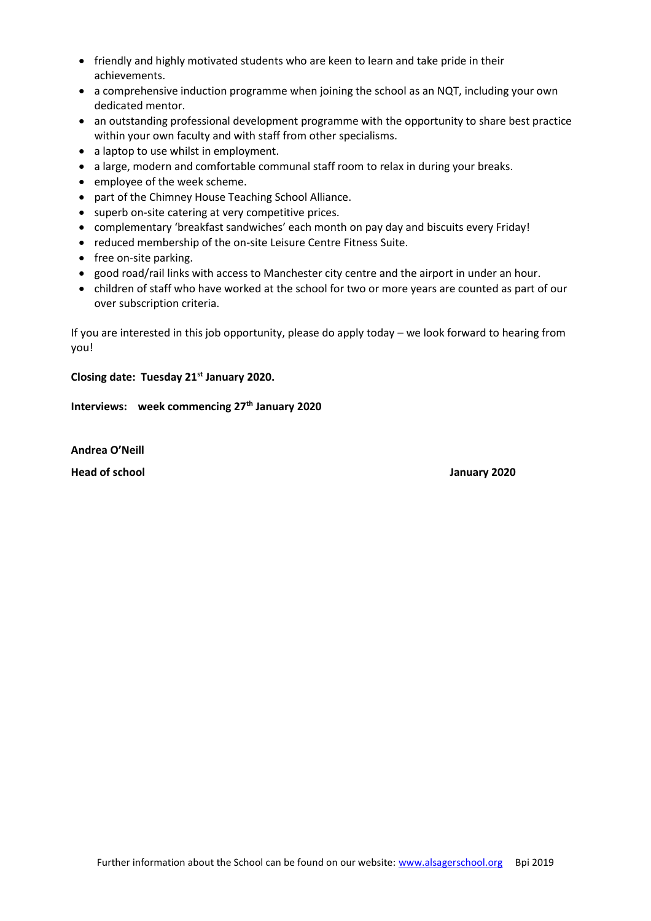- friendly and highly motivated students who are keen to learn and take pride in their achievements.
- a comprehensive induction programme when joining the school as an NQT, including your own dedicated mentor.
- an outstanding professional development programme with the opportunity to share best practice within your own faculty and with staff from other specialisms.
- a laptop to use whilst in employment.
- a large, modern and comfortable communal staff room to relax in during your breaks.
- employee of the week scheme.
- part of the Chimney House Teaching School Alliance.
- superb on-site catering at very competitive prices.
- complementary 'breakfast sandwiches' each month on pay day and biscuits every Friday!
- reduced membership of the on-site Leisure Centre Fitness Suite.
- free on-site parking.
- good road/rail links with access to Manchester city centre and the airport in under an hour.
- children of staff who have worked at the school for two or more years are counted as part of our over subscription criteria.

If you are interested in this job opportunity, please do apply today – we look forward to hearing from you!

### **Closing date: Tuesday 21st January 2020.**

**Interviews: week commencing 27th January 2020**

**Andrea O'Neill Head of school January 2020**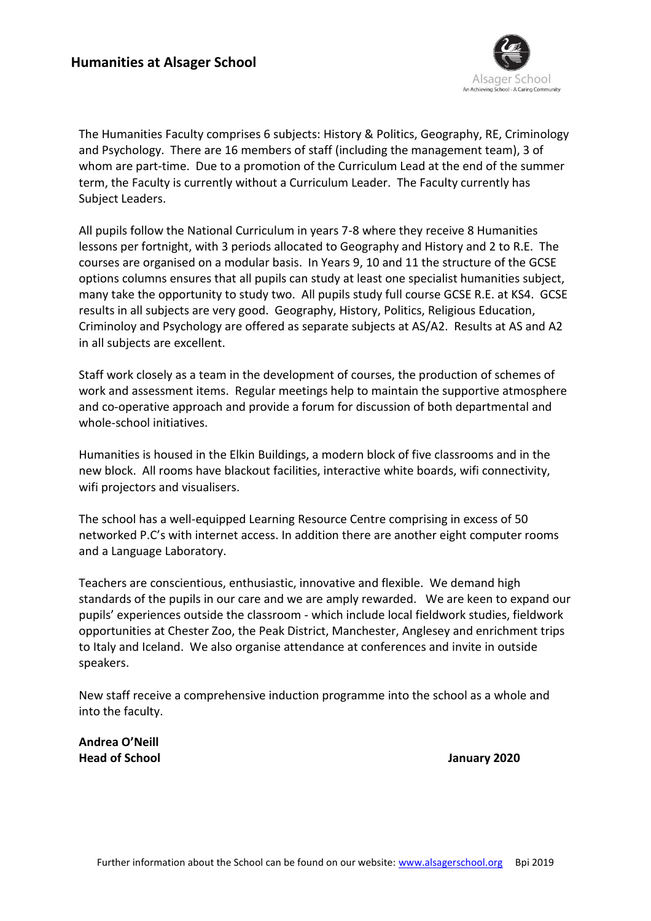

The Humanities Faculty comprises 6 subjects: History & Politics, Geography, RE, Criminology and Psychology. There are 16 members of staff (including the management team), 3 of whom are part-time. Due to a promotion of the Curriculum Lead at the end of the summer term, the Faculty is currently without a Curriculum Leader. The Faculty currently has Subject Leaders.

All pupils follow the National Curriculum in years 7-8 where they receive 8 Humanities lessons per fortnight, with 3 periods allocated to Geography and History and 2 to R.E. The courses are organised on a modular basis. In Years 9, 10 and 11 the structure of the GCSE options columns ensures that all pupils can study at least one specialist humanities subject, many take the opportunity to study two. All pupils study full course GCSE R.E. at KS4. GCSE results in all subjects are very good. Geography, History, Politics, Religious Education, Criminoloy and Psychology are offered as separate subjects at AS/A2. Results at AS and A2 in all subjects are excellent.

Staff work closely as a team in the development of courses, the production of schemes of work and assessment items. Regular meetings help to maintain the supportive atmosphere and co-operative approach and provide a forum for discussion of both departmental and whole-school initiatives.

Humanities is housed in the Elkin Buildings, a modern block of five classrooms and in the new block. All rooms have blackout facilities, interactive white boards, wifi connectivity, wifi projectors and visualisers.

The school has a well-equipped Learning Resource Centre comprising in excess of 50 networked P.C's with internet access. In addition there are another eight computer rooms and a Language Laboratory.

Teachers are conscientious, enthusiastic, innovative and flexible. We demand high standards of the pupils in our care and we are amply rewarded. We are keen to expand our pupils' experiences outside the classroom - which include local fieldwork studies, fieldwork opportunities at Chester Zoo, the Peak District, Manchester, Anglesey and enrichment trips to Italy and Iceland. We also organise attendance at conferences and invite in outside speakers.

New staff receive a comprehensive induction programme into the school as a whole and into the faculty.

**Andrea O'Neill Head of School January 2020**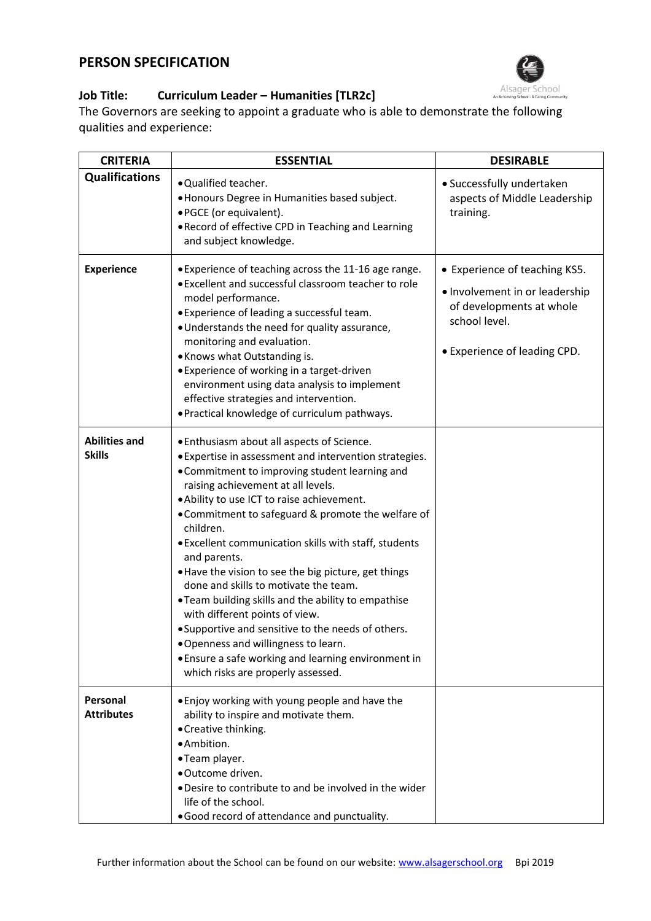## **PERSON SPECIFICATION**



## **Job Title: Curriculum Leader – Humanities [TLR2c]**

The Governors are seeking to appoint a graduate who is able to demonstrate the following qualities and experience:

| <b>CRITERIA</b>                       | <b>ESSENTIAL</b>                                                                                                                                                                                                                                                                                                                                                                                                                                                                                                                                                                                                                                                                                                                                                            | <b>DESIRABLE</b>                                                                                                                             |
|---------------------------------------|-----------------------------------------------------------------------------------------------------------------------------------------------------------------------------------------------------------------------------------------------------------------------------------------------------------------------------------------------------------------------------------------------------------------------------------------------------------------------------------------------------------------------------------------------------------------------------------------------------------------------------------------------------------------------------------------------------------------------------------------------------------------------------|----------------------------------------------------------------------------------------------------------------------------------------------|
| <b>Qualifications</b>                 | . Qualified teacher.<br>· Honours Degree in Humanities based subject.<br>• PGCE (or equivalent).<br>. Record of effective CPD in Teaching and Learning<br>and subject knowledge.                                                                                                                                                                                                                                                                                                                                                                                                                                                                                                                                                                                            | • Successfully undertaken<br>aspects of Middle Leadership<br>training.                                                                       |
| <b>Experience</b>                     | • Experience of teaching across the 11-16 age range.<br>. Excellent and successful classroom teacher to role<br>model performance.<br>• Experience of leading a successful team.<br>. Understands the need for quality assurance,<br>monitoring and evaluation.<br>• Knows what Outstanding is.<br>• Experience of working in a target-driven<br>environment using data analysis to implement<br>effective strategies and intervention.<br>. Practical knowledge of curriculum pathways.                                                                                                                                                                                                                                                                                    | • Experience of teaching KS5.<br>• Involvement in or leadership<br>of developments at whole<br>school level.<br>• Experience of leading CPD. |
| <b>Abilities and</b><br><b>Skills</b> | . Enthusiasm about all aspects of Science.<br>. Expertise in assessment and intervention strategies.<br>• Commitment to improving student learning and<br>raising achievement at all levels.<br>. Ability to use ICT to raise achievement.<br>• Commitment to safeguard & promote the welfare of<br>children.<br>. Excellent communication skills with staff, students<br>and parents.<br>. Have the vision to see the big picture, get things<br>done and skills to motivate the team.<br>. Team building skills and the ability to empathise<br>with different points of view.<br>• Supportive and sensitive to the needs of others.<br>. Openness and willingness to learn.<br>• Ensure a safe working and learning environment in<br>which risks are properly assessed. |                                                                                                                                              |
| Personal<br><b>Attributes</b>         | . Enjoy working with young people and have the<br>ability to inspire and motivate them.<br>• Creative thinking.<br>· Ambition.<br>•Team player.<br>• Outcome driven.<br>• Desire to contribute to and be involved in the wider<br>life of the school.<br>.Good record of attendance and punctuality.                                                                                                                                                                                                                                                                                                                                                                                                                                                                        |                                                                                                                                              |